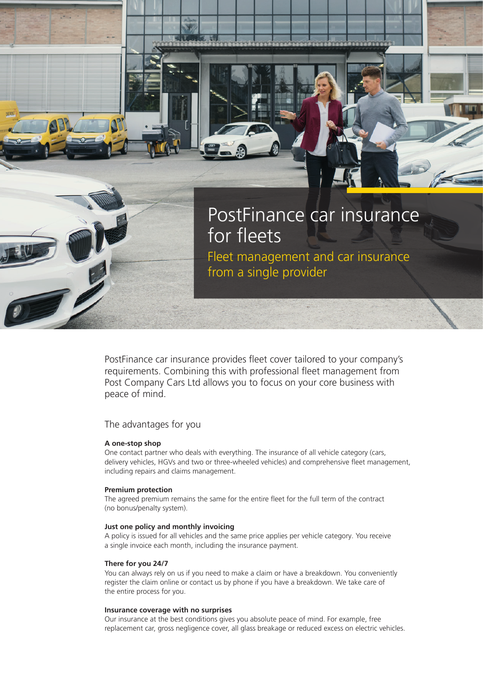

PostFinance car insurance provides fleet cover tailored to your company's requirements. Combining this with professional fleet management from Post Company Cars Ltd allows you to focus on your core business with peace of mind.

# The advantages for you

# **A one-stop shop**

One contact partner who deals with everything. The insurance of all vehicle category (cars, delivery vehicles, HGVs and two or three-wheeled vehicles) and comprehensive fleet management, including repairs and claims management.

## **Premium protection**

The agreed premium remains the same for the entire fleet for the full term of the contract (no bonus/penalty system).

## **Just one policy and monthly invoicing**

A policy is issued for all vehicles and the same price applies per vehicle category. You receive a single invoice each month, including the insurance payment.

#### **There for you 24/7**

You can always rely on us if you need to make a claim or have a breakdown. You conveniently register the claim online or contact us by phone if you have a breakdown. We take care of the entire process for you.

#### **Insurance coverage with no surprises**

Our insurance at the best conditions gives you absolute peace of mind. For example, free replacement car, gross negligence cover, all glass breakage or reduced excess on electric vehicles.